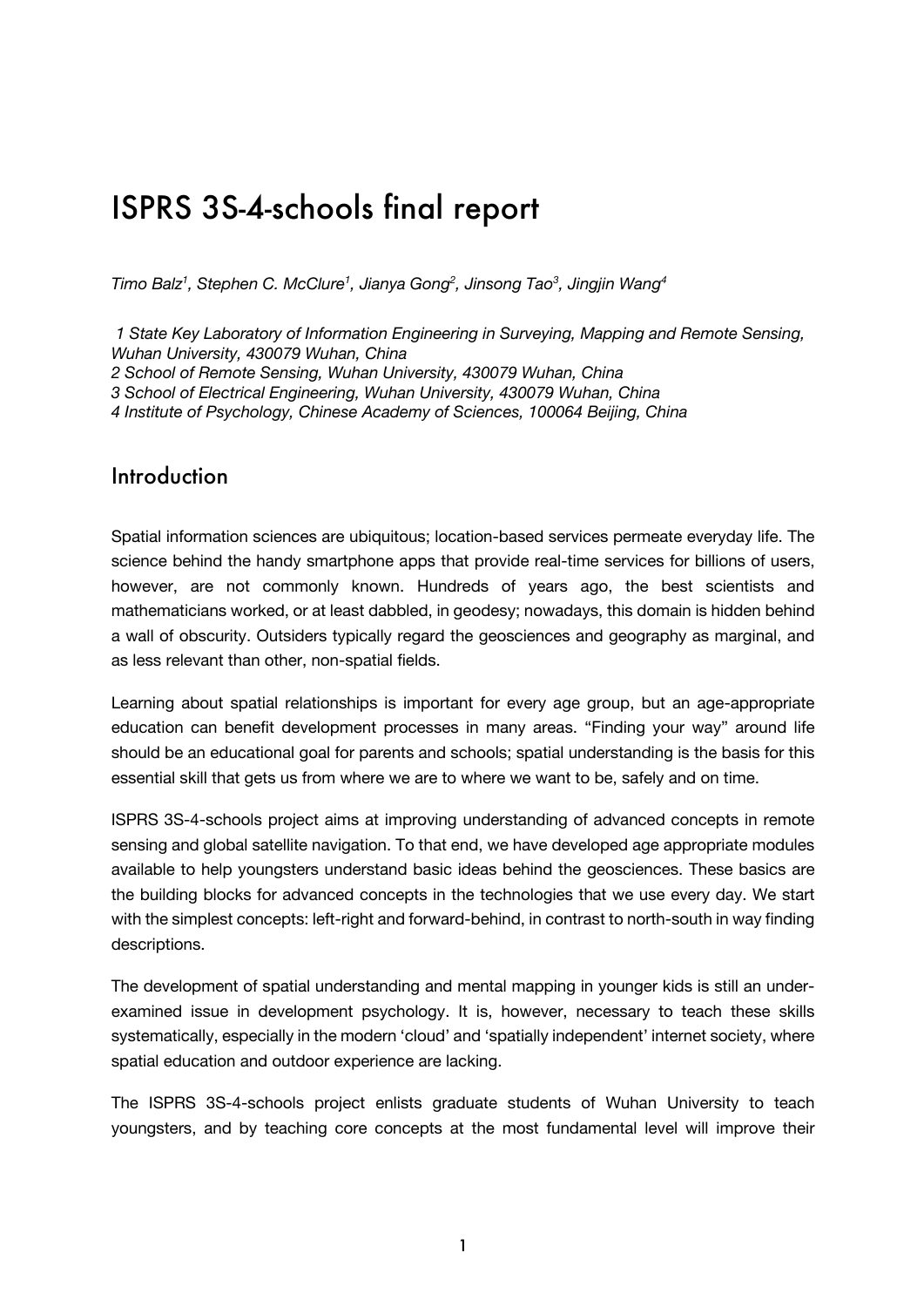## ISPRS 3S-4-schools final report

*Timo Balz1 , Stephen C. McClure1 , Jianya Gong2 , Jinsong Tao3 , Jingjin Wang4*

*1 State Key Laboratory of Information Engineering in Surveying, Mapping and Remote Sensing, Wuhan University, 430079 Wuhan, China 2 School of Remote Sensing, Wuhan University, 430079 Wuhan, China 3 School of Electrical Engineering, Wuhan University, 430079 Wuhan, China 4 Institute of Psychology, Chinese Academy of Sciences, 100064 Beijing, China*

### Introduction

Spatial information sciences are ubiquitous; location-based services permeate everyday life. The science behind the handy smartphone apps that provide real-time services for billions of users, however, are not commonly known. Hundreds of years ago, the best scientists and mathematicians worked, or at least dabbled, in geodesy; nowadays, this domain is hidden behind a wall of obscurity. Outsiders typically regard the geosciences and geography as marginal, and as less relevant than other, non-spatial fields.

Learning about spatial relationships is important for every age group, but an age-appropriate education can benefit development processes in many areas. "Finding your way" around life should be an educational goal for parents and schools; spatial understanding is the basis for this essential skill that gets us from where we are to where we want to be, safely and on time.

ISPRS 3S-4-schools project aims at improving understanding of advanced concepts in remote sensing and global satellite navigation. To that end, we have developed age appropriate modules available to help youngsters understand basic ideas behind the geosciences. These basics are the building blocks for advanced concepts in the technologies that we use every day. We start with the simplest concepts: left-right and forward-behind, in contrast to north-south in way finding descriptions.

The development of spatial understanding and mental mapping in younger kids is still an underexamined issue in development psychology. It is, however, necessary to teach these skills systematically, especially in the modern 'cloud' and 'spatially independent' internet society, where spatial education and outdoor experience are lacking.

The ISPRS 3S-4-schools project enlists graduate students of Wuhan University to teach youngsters, and by teaching core concepts at the most fundamental level will improve their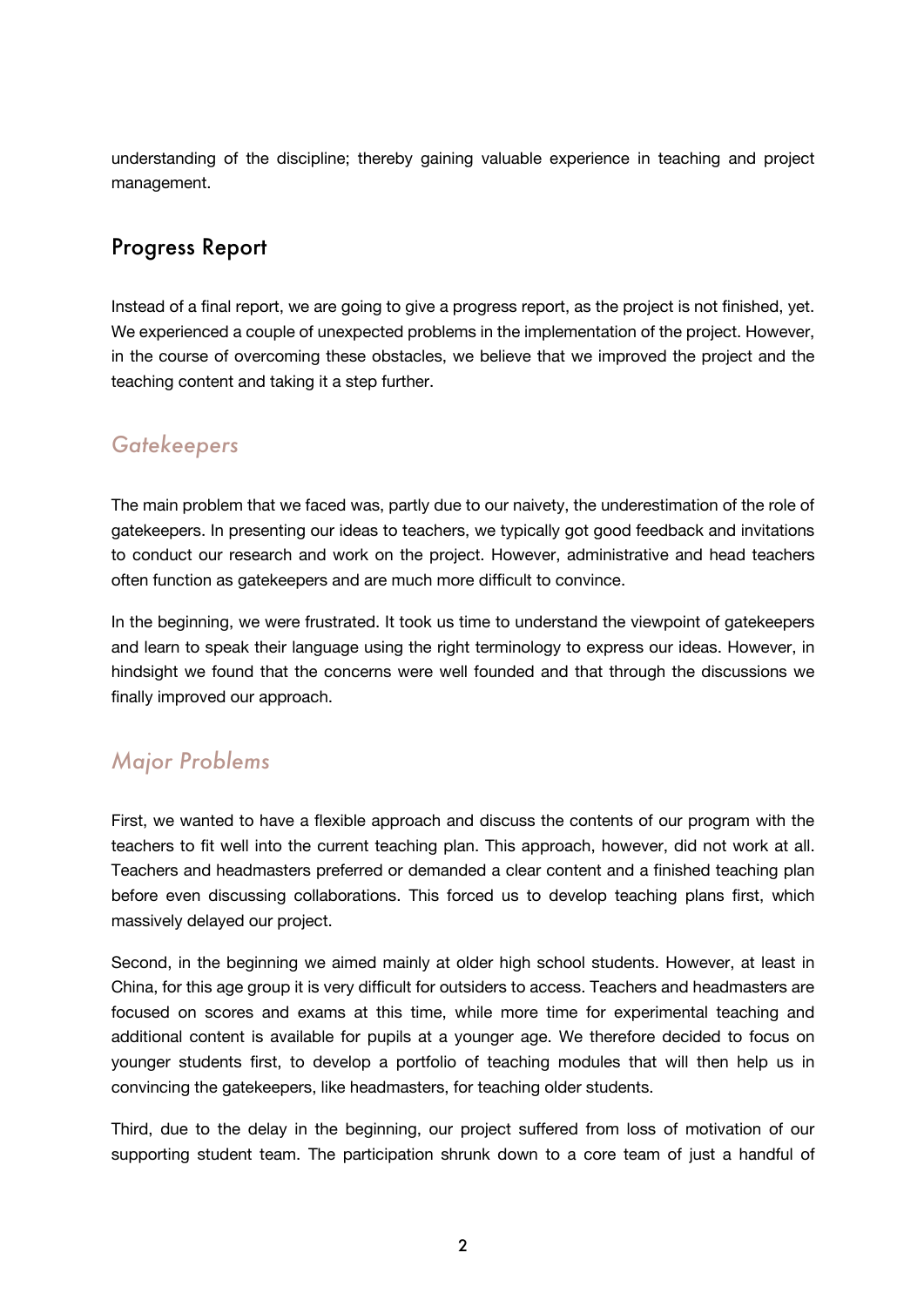understanding of the discipline; thereby gaining valuable experience in teaching and project management.

### Progress Report

Instead of a final report, we are going to give a progress report, as the project is not finished, yet. We experienced a couple of unexpected problems in the implementation of the project. However, in the course of overcoming these obstacles, we believe that we improved the project and the teaching content and taking it a step further.

### *Gatekeepers*

The main problem that we faced was, partly due to our naivety, the underestimation of the role of gatekeepers. In presenting our ideas to teachers, we typically got good feedback and invitations to conduct our research and work on the project. However, administrative and head teachers often function as gatekeepers and are much more difficult to convince.

In the beginning, we were frustrated. It took us time to understand the viewpoint of gatekeepers and learn to speak their language using the right terminology to express our ideas. However, in hindsight we found that the concerns were well founded and that through the discussions we finally improved our approach.

### *Major Problems*

First, we wanted to have a flexible approach and discuss the contents of our program with the teachers to fit well into the current teaching plan. This approach, however, did not work at all. Teachers and headmasters preferred or demanded a clear content and a finished teaching plan before even discussing collaborations. This forced us to develop teaching plans first, which massively delayed our project.

Second, in the beginning we aimed mainly at older high school students. However, at least in China, for this age group it is very difficult for outsiders to access. Teachers and headmasters are focused on scores and exams at this time, while more time for experimental teaching and additional content is available for pupils at a younger age. We therefore decided to focus on younger students first, to develop a portfolio of teaching modules that will then help us in convincing the gatekeepers, like headmasters, for teaching older students.

Third, due to the delay in the beginning, our project suffered from loss of motivation of our supporting student team. The participation shrunk down to a core team of just a handful of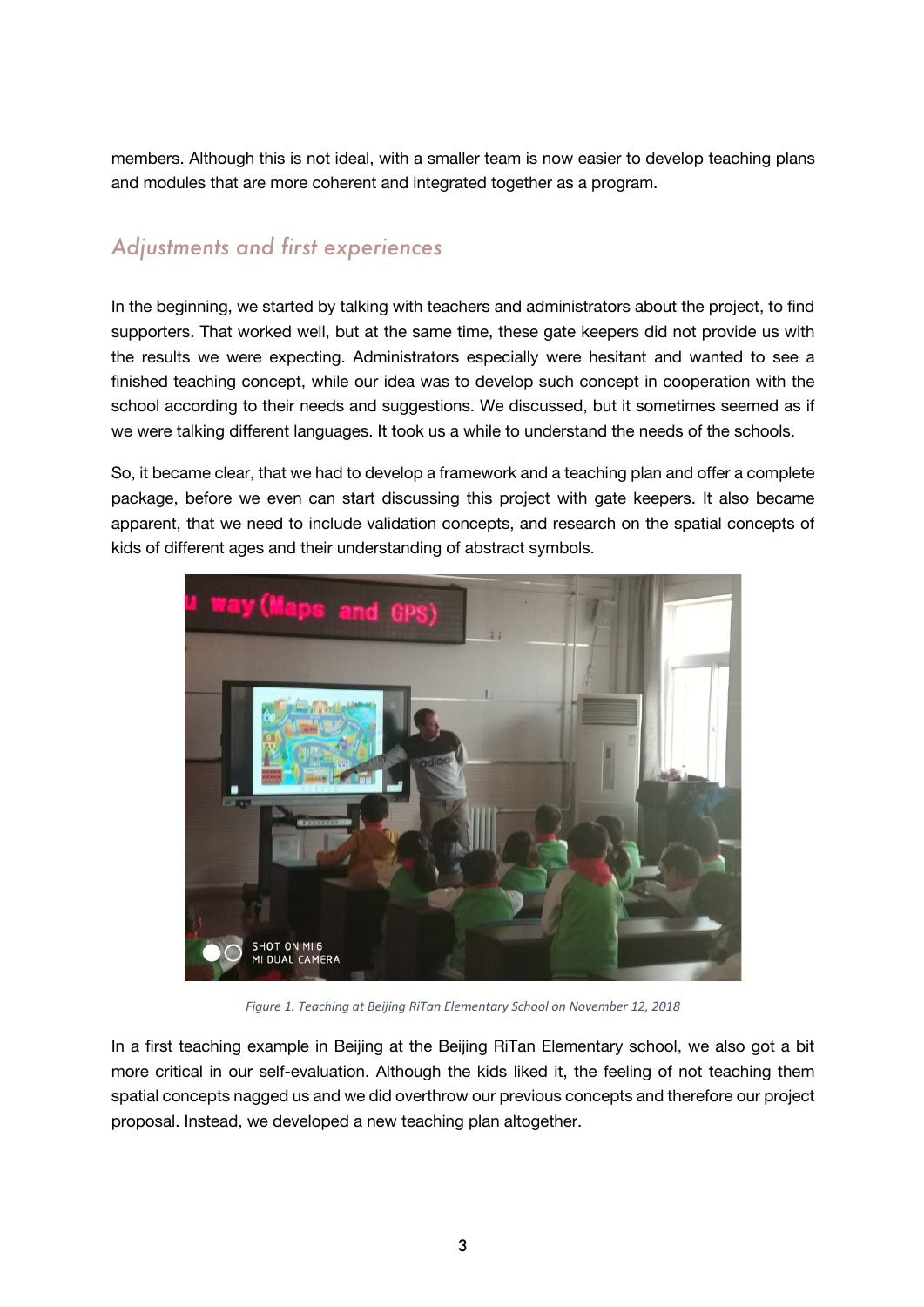members. Although this is not ideal, with a smaller team is now easier to develop teaching plans and modules that are more coherent and integrated together as a program.

### *Adjustments and first experiences*

In the beginning, we started by talking with teachers and administrators about the project, to find supporters. That worked well, but at the same time, these gate keepers did not provide us with the results we were expecting. Administrators especially were hesitant and wanted to see a finished teaching concept, while our idea was to develop such concept in cooperation with the school according to their needs and suggestions. We discussed, but it sometimes seemed as if we were talking different languages. It took us a while to understand the needs of the schools.

So, it became clear, that we had to develop a framework and a teaching plan and offer a complete package, before we even can start discussing this project with gate keepers. It also became apparent, that we need to include validation concepts, and research on the spatial concepts of kids of different ages and their understanding of abstract symbols.



*Figure 1. Teaching at Beijing RiTan Elementary School on November 12, 2018*

In a first teaching example in Beijing at the Beijing RiTan Elementary school, we also got a bit more critical in our self-evaluation. Although the kids liked it, the feeling of not teaching them spatial concepts nagged us and we did overthrow our previous concepts and therefore our project proposal. Instead, we developed a new teaching plan altogether.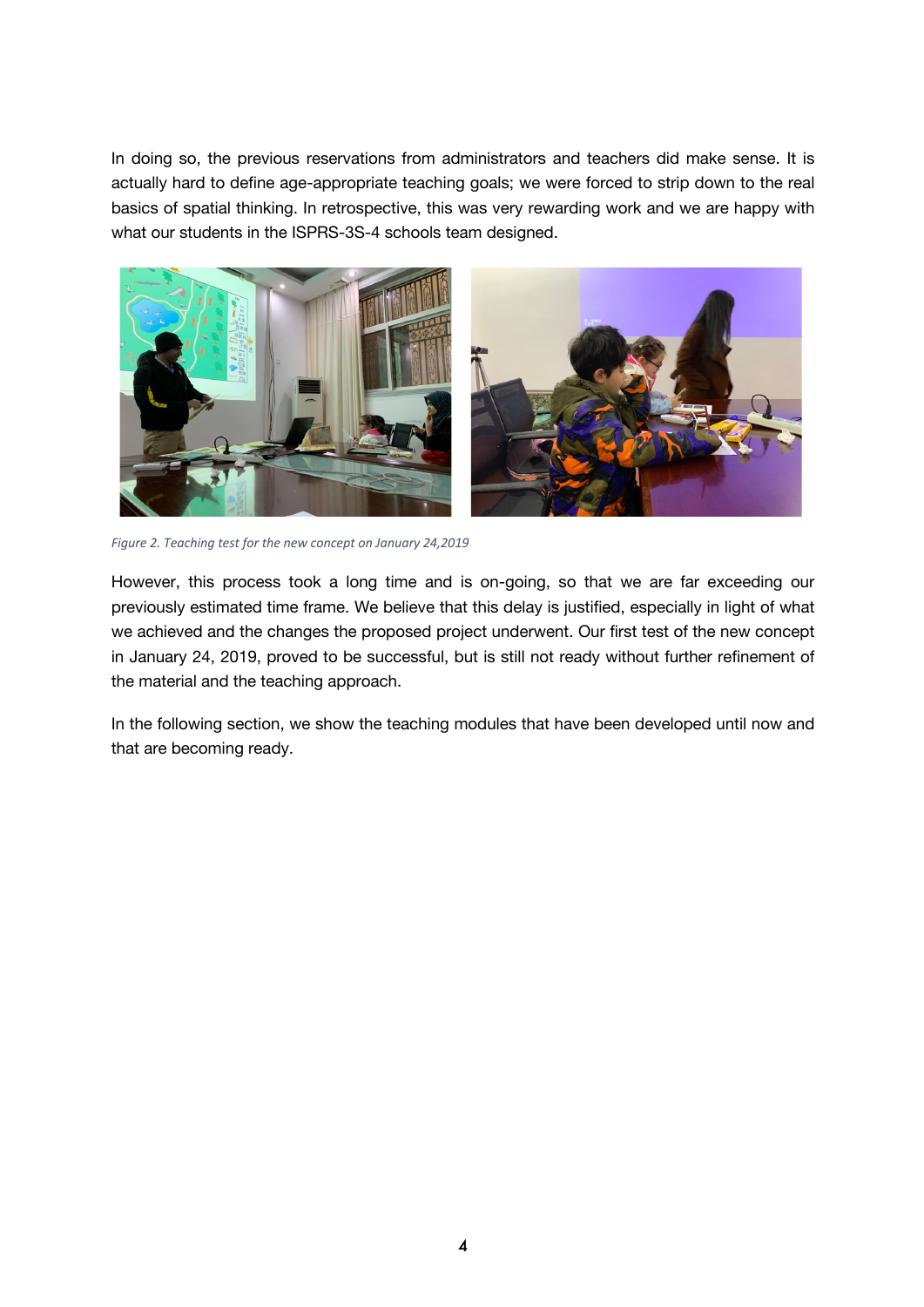In doing so, the previous reservations from administrators and teachers did make sense. It is actually hard to define age-appropriate teaching goals; we were forced to strip down to the real basics of spatial thinking. In retrospective, this was very rewarding work and we are happy with what our students in the ISPRS-3S-4 schools team designed.



*Figure 2. Teaching test for the new concept on January 24,2019*

However, this process took a long time and is on-going, so that we are far exceeding our previously estimated time frame. We believe that this delay is justified, especially in light of what we achieved and the changes the proposed project underwent. Our first test of the new concept in January 24, 2019, proved to be successful, but is still not ready without further refinement of the material and the teaching approach.

In the following section, we show the teaching modules that have been developed until now and that are becoming ready.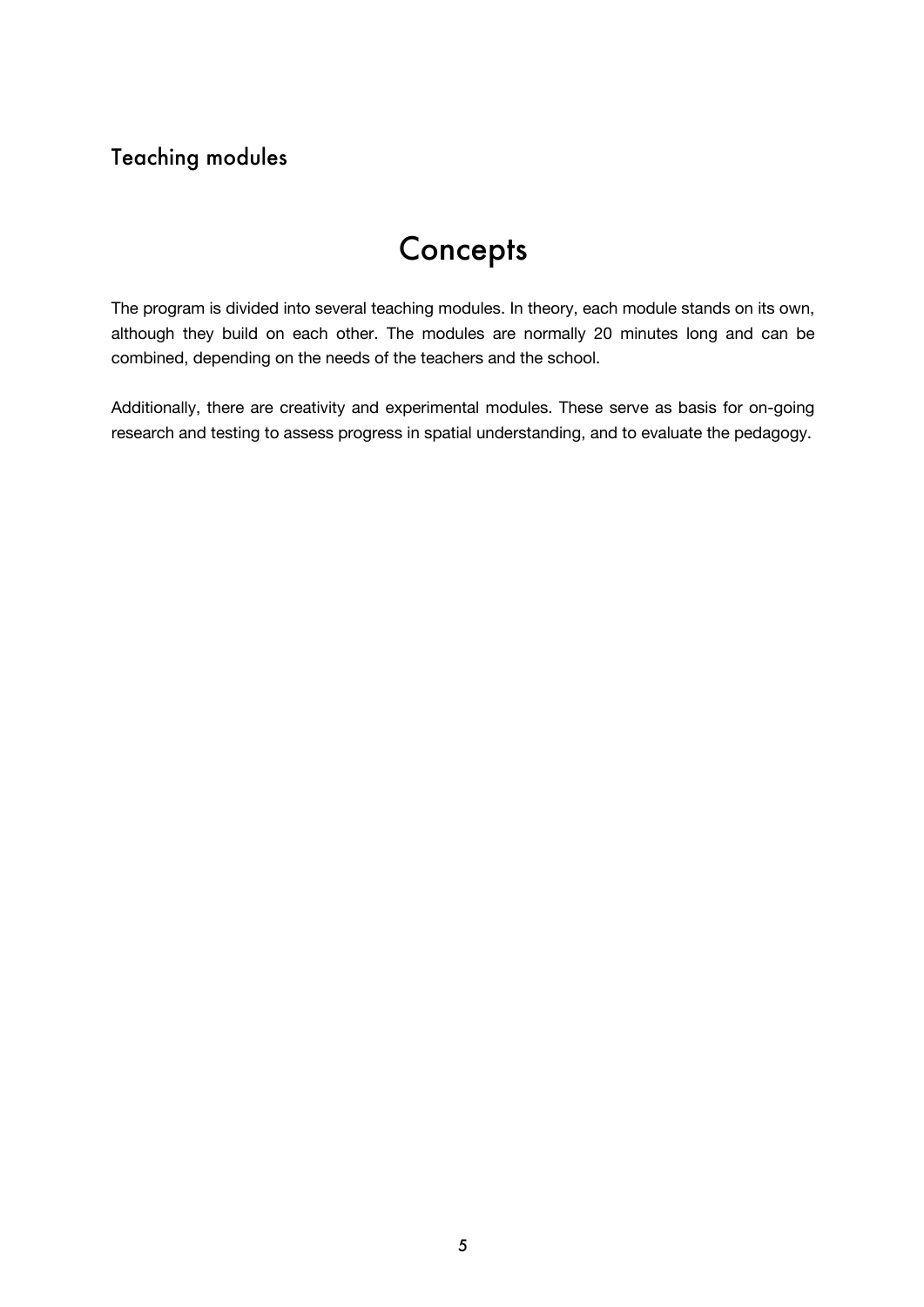## Teaching modules

## **Concepts**

The program is divided into several teaching modules. In theory, each module stands on its own, although they build on each other. The modules are normally 20 minutes long and can be combined, depending on the needs of the teachers and the school.

Additionally, there are creativity and experimental modules. These serve as basis for on-going research and testing to assess progress in spatial understanding, and to evaluate the pedagogy.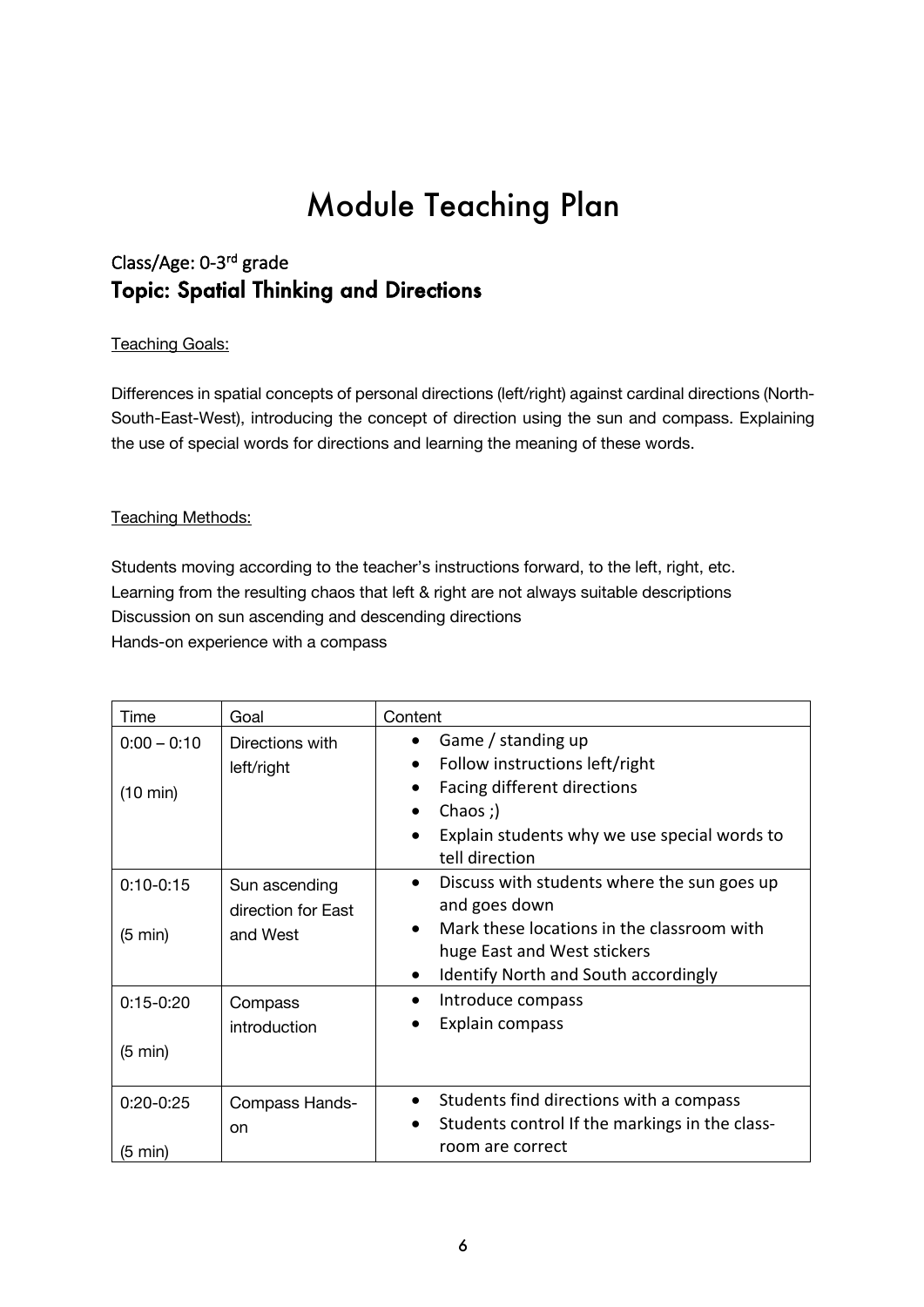## Class/Age: 0-3rd grade Topic: Spatial Thinking and Directions

#### Teaching Goals:

Differences in spatial concepts of personal directions (left/right) against cardinal directions (North-South-East-West), introducing the concept of direction using the sun and compass. Explaining the use of special words for directions and learning the meaning of these words.

#### Teaching Methods:

Students moving according to the teacher's instructions forward, to the left, right, etc. Learning from the resulting chaos that left & right are not always suitable descriptions Discussion on sun ascending and descending directions Hands-on experience with a compass

| Time                                | Goal                                | Content                                                                                                                                                                                     |  |
|-------------------------------------|-------------------------------------|---------------------------------------------------------------------------------------------------------------------------------------------------------------------------------------------|--|
| $0:00 - 0:10$<br>$(10 \text{ min})$ | Directions with<br>left/right       | Game / standing up<br>$\bullet$<br>Follow instructions left/right<br>Facing different directions<br>Chaos ;)<br>$\bullet$<br>Explain students why we use special words to<br>tell direction |  |
| $0:10 - 0:15$                       | Sun ascending<br>direction for East | Discuss with students where the sun goes up<br>$\bullet$<br>and goes down                                                                                                                   |  |
| $(5 \text{ min})$                   | and West                            | Mark these locations in the classroom with<br>huge East and West stickers<br><b>Identify North and South accordingly</b><br>$\bullet$                                                       |  |
| $0:15-0:20$                         | Compass<br>introduction             | Introduce compass<br>$\bullet$<br>Explain compass                                                                                                                                           |  |
| $(5 \text{ min})$                   |                                     |                                                                                                                                                                                             |  |
| $0:20-0:25$                         | Compass Hands-<br>on                | Students find directions with a compass<br>$\bullet$<br>Students control If the markings in the class-<br>$\bullet$                                                                         |  |
| (5 min)                             |                                     | room are correct                                                                                                                                                                            |  |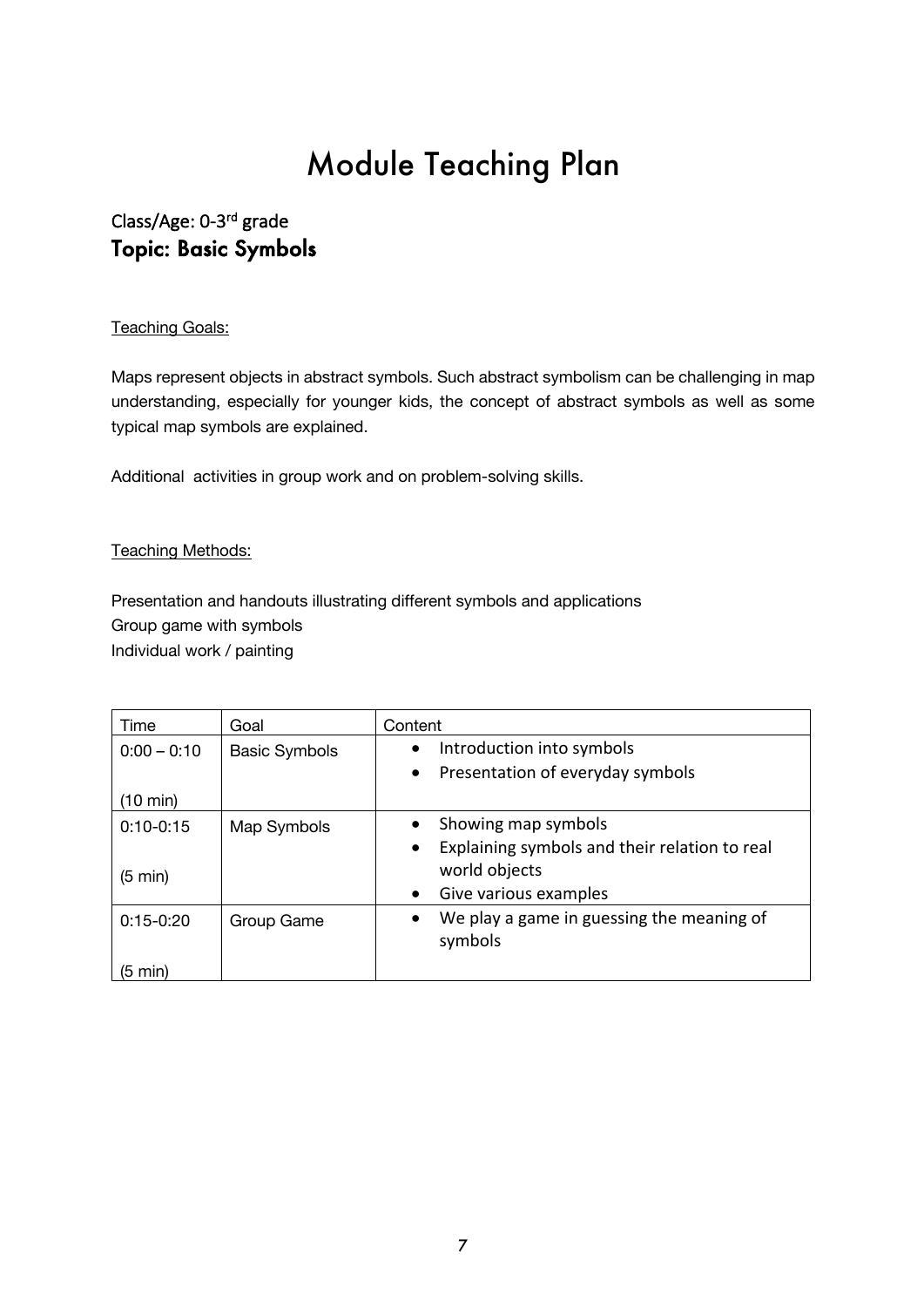### Class/Age: 0-3rd grade Topic: Basic Symbols

#### **Teaching Goals:**

Maps represent objects in abstract symbols. Such abstract symbolism can be challenging in map understanding, especially for younger kids, the concept of abstract symbols as well as some typical map symbols are explained.

Additional activities in group work and on problem-solving skills.

#### **Teaching Methods:**

Presentation and handouts illustrating different symbols and applications Group game with symbols Individual work / painting

| Time               | Goal                 | Content                                                    |
|--------------------|----------------------|------------------------------------------------------------|
| $0:00 - 0:10$      | <b>Basic Symbols</b> | Introduction into symbols<br>$\bullet$                     |
|                    |                      | Presentation of everyday symbols<br>$\bullet$              |
| $(10 \text{ min})$ |                      |                                                            |
| $0:10-0:15$        | Map Symbols          | Showing map symbols                                        |
|                    |                      | Explaining symbols and their relation to real<br>$\bullet$ |
| $(5 \text{ min})$  |                      | world objects                                              |
|                    |                      | Give various examples<br>$\bullet$                         |
| $0:15 - 0:20$      | Group Game           | We play a game in guessing the meaning of<br>$\bullet$     |
|                    |                      | symbols                                                    |
| (5 min)            |                      |                                                            |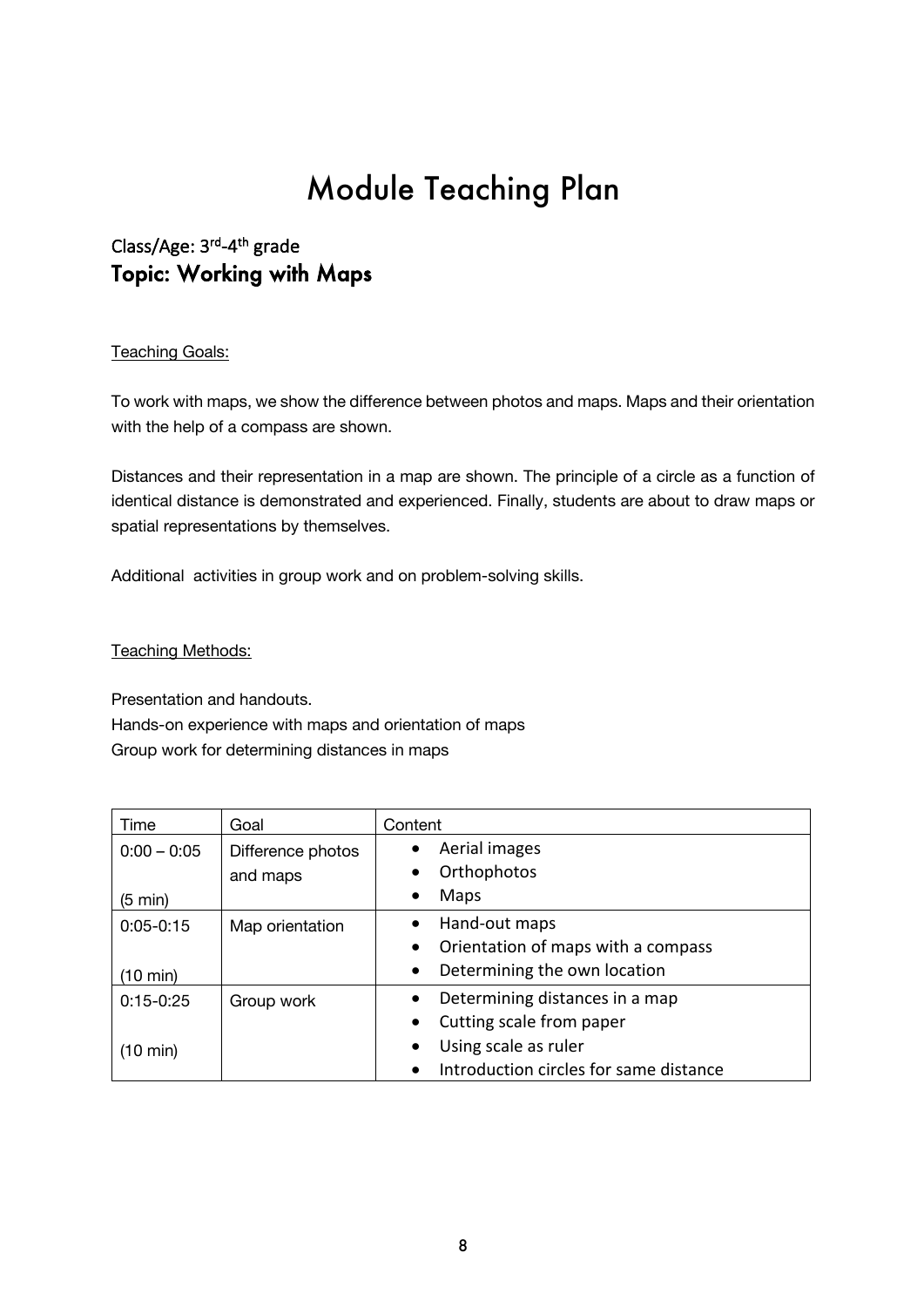### Class/Age: 3rd-4th grade Topic: Working with Maps

#### **Teaching Goals:**

To work with maps, we show the difference between photos and maps. Maps and their orientation with the help of a compass are shown.

Distances and their representation in a map are shown. The principle of a circle as a function of identical distance is demonstrated and experienced. Finally, students are about to draw maps or spatial representations by themselves.

Additional activities in group work and on problem-solving skills.

#### Teaching Methods:

Presentation and handouts. Hands-on experience with maps and orientation of maps Group work for determining distances in maps

| Time               | Goal              | Content                                             |  |
|--------------------|-------------------|-----------------------------------------------------|--|
| $0:00 - 0:05$      | Difference photos | Aerial images<br>$\bullet$                          |  |
|                    | and maps          | Orthophotos<br>$\bullet$                            |  |
| $(5 \text{ min})$  |                   | Maps<br>$\bullet$                                   |  |
| $0:05 - 0:15$      | Map orientation   | Hand-out maps<br>$\bullet$                          |  |
|                    |                   | Orientation of maps with a compass<br>$\bullet$     |  |
| $(10 \text{ min})$ |                   | Determining the own location<br>$\bullet$           |  |
| $0:15 - 0:25$      | Group work        | Determining distances in a map<br>$\bullet$         |  |
|                    |                   | Cutting scale from paper<br>$\bullet$               |  |
| $(10 \text{ min})$ |                   | Using scale as ruler<br>$\bullet$                   |  |
|                    |                   | Introduction circles for same distance<br>$\bullet$ |  |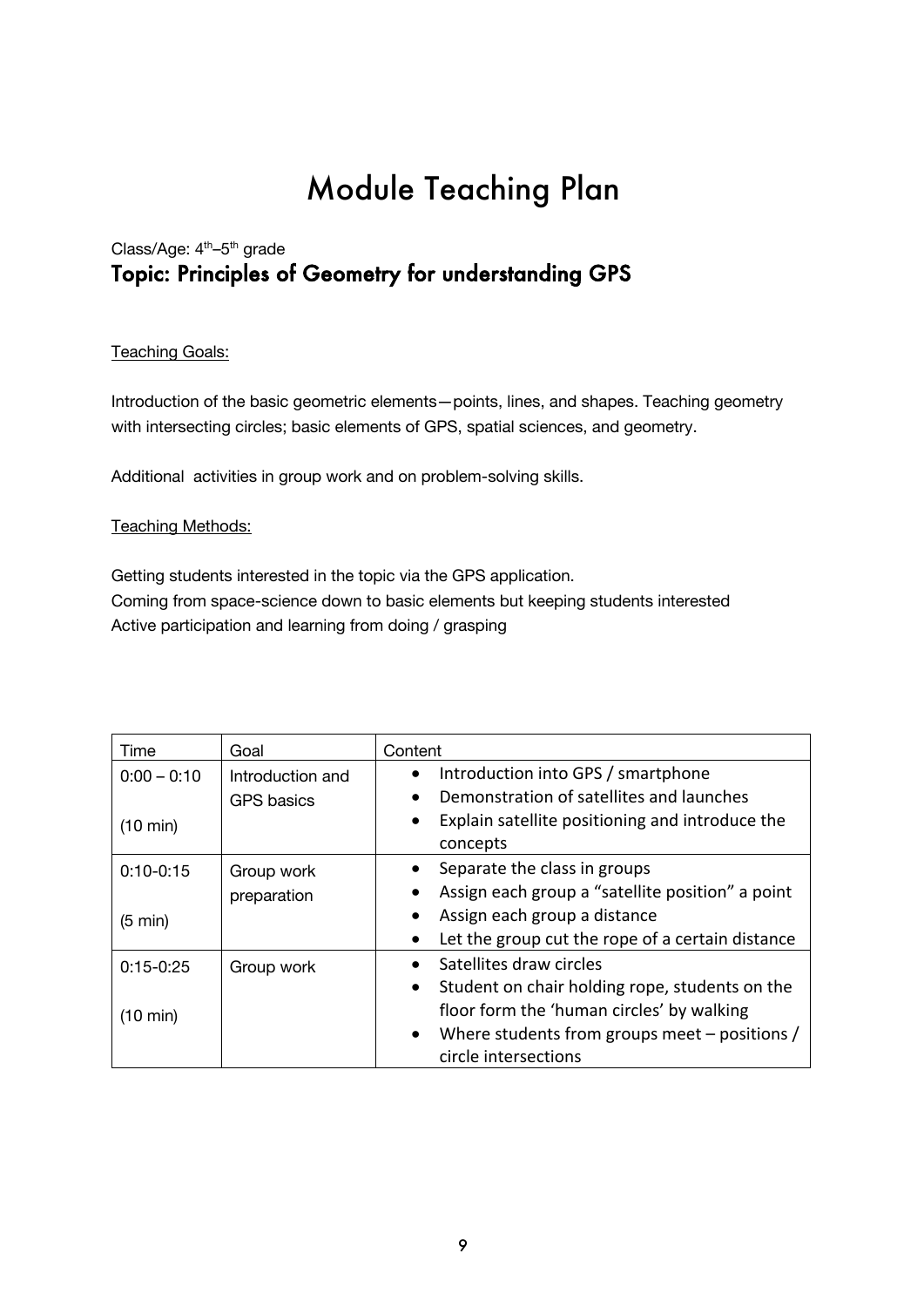### Class/Age: 4<sup>th</sup>-5<sup>th</sup> grade Topic: Principles of Geometry for understanding GPS

#### **Teaching Goals:**

Introduction of the basic geometric elements—points, lines, and shapes. Teaching geometry with intersecting circles; basic elements of GPS, spatial sciences, and geometry.

Additional activities in group work and on problem-solving skills.

#### Teaching Methods:

Getting students interested in the topic via the GPS application. Coming from space-science down to basic elements but keeping students interested Active participation and learning from doing / grasping

| Time               | Goal              | Content                                                      |  |
|--------------------|-------------------|--------------------------------------------------------------|--|
| $0:00 - 0:10$      | Introduction and  | Introduction into GPS / smartphone<br>$\bullet$              |  |
|                    | <b>GPS</b> basics | Demonstration of satellites and launches                     |  |
| $(10 \text{ min})$ |                   | Explain satellite positioning and introduce the<br>$\bullet$ |  |
|                    |                   | concepts                                                     |  |
| $0:10 - 0:15$      | Group work        | Separate the class in groups                                 |  |
|                    | preparation       | Assign each group a "satellite position" a point             |  |
| $(5 \text{ min})$  |                   | Assign each group a distance                                 |  |
|                    |                   | Let the group cut the rope of a certain distance             |  |
| $0:15 - 0:25$      | Group work        | Satellites draw circles                                      |  |
|                    |                   | Student on chair holding rope, students on the<br>$\bullet$  |  |
| $(10 \text{ min})$ |                   | floor form the 'human circles' by walking                    |  |
|                    |                   | Where students from groups meet – positions /<br>$\bullet$   |  |
|                    |                   | circle intersections                                         |  |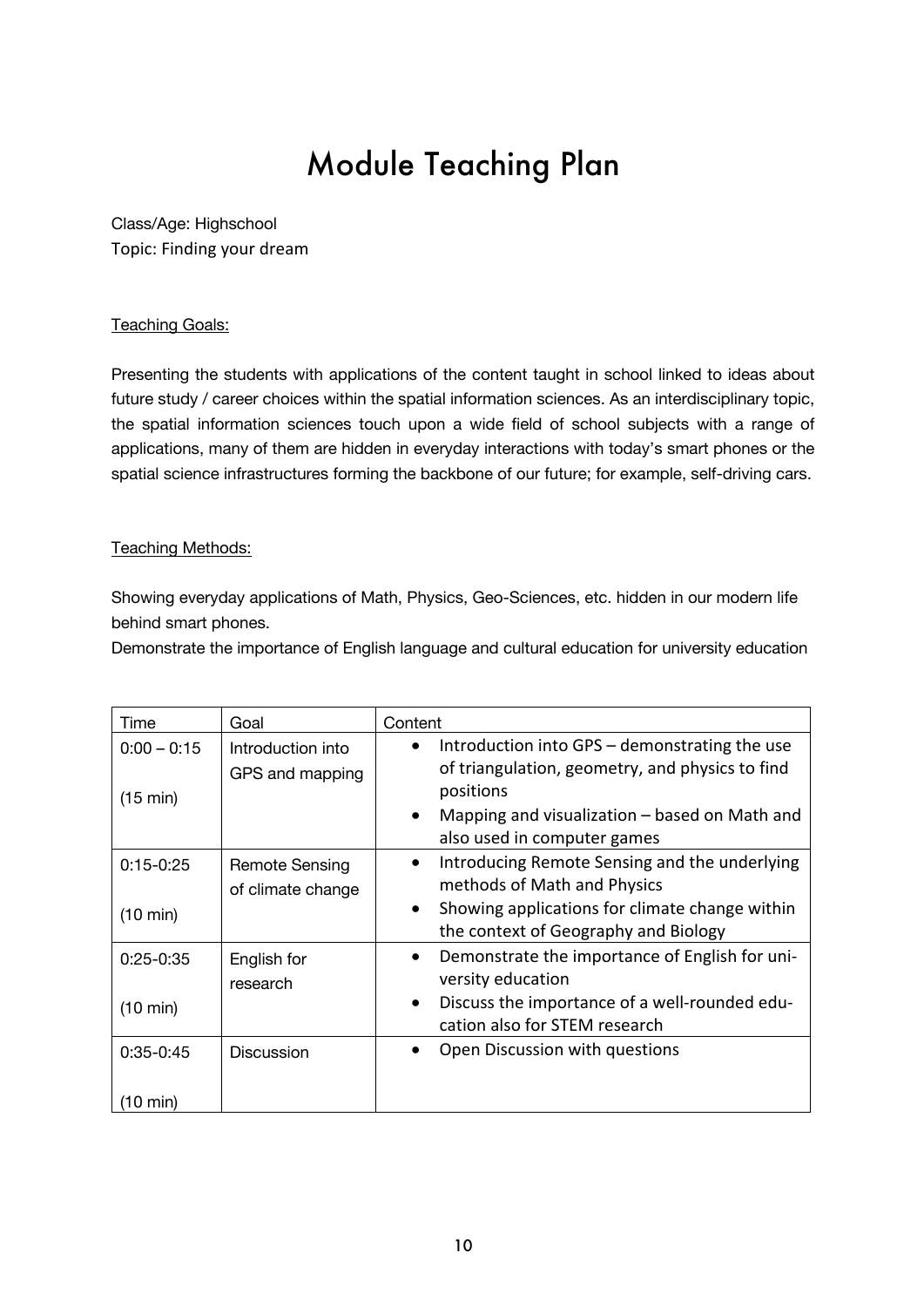Class/Age: Highschool Topic: Finding your dream

#### **Teaching Goals:**

Presenting the students with applications of the content taught in school linked to ideas about future study / career choices within the spatial information sciences. As an interdisciplinary topic, the spatial information sciences touch upon a wide field of school subjects with a range of applications, many of them are hidden in everyday interactions with today's smart phones or the spatial science infrastructures forming the backbone of our future; for example, self-driving cars.

#### Teaching Methods:

Showing everyday applications of Math, Physics, Geo-Sciences, etc. hidden in our modern life behind smart phones.

Demonstrate the importance of English language and cultural education for university education

| Time                                | Goal                                       | Content                                                                                                                                                                                                                   |
|-------------------------------------|--------------------------------------------|---------------------------------------------------------------------------------------------------------------------------------------------------------------------------------------------------------------------------|
| $0:00 - 0:15$<br>(15 min)           | Introduction into<br>GPS and mapping       | Introduction into GPS - demonstrating the use<br>$\bullet$<br>of triangulation, geometry, and physics to find<br>positions<br>Mapping and visualization $-$ based on Math and<br>$\bullet$<br>also used in computer games |
| $0:15 - 0:25$<br>$(10 \text{ min})$ | <b>Remote Sensing</b><br>of climate change | Introducing Remote Sensing and the underlying<br>$\bullet$<br>methods of Math and Physics<br>Showing applications for climate change within<br>$\bullet$<br>the context of Geography and Biology                          |
| $0:25-0:35$<br>$(10 \text{ min})$   | English for<br>research                    | Demonstrate the importance of English for uni-<br>$\bullet$<br>versity education<br>Discuss the importance of a well-rounded edu-<br>$\bullet$<br>cation also for STEM research                                           |
| $0:35-0:45$<br>(10 min)             | <b>Discussion</b>                          | Open Discussion with questions                                                                                                                                                                                            |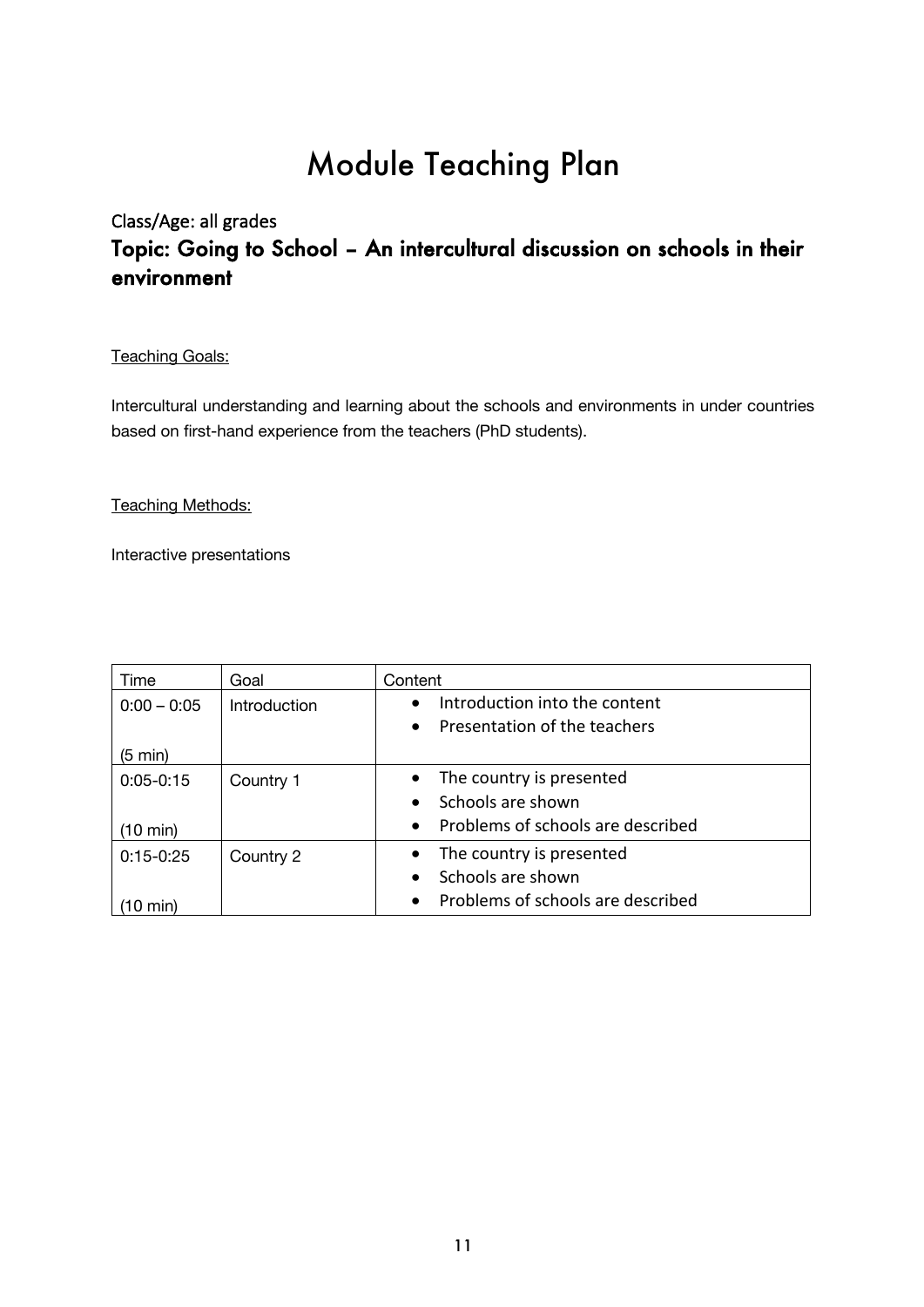## Class/Age: all grades Topic: Going to School – An intercultural discussion on schools in their environment

#### **Teaching Goals:**

Intercultural understanding and learning about the schools and environments in under countries based on first-hand experience from the teachers (PhD students).

#### **Teaching Methods:**

Interactive presentations

| Time              | Goal         | Content                                        |  |
|-------------------|--------------|------------------------------------------------|--|
| $0:00 - 0:05$     | Introduction | Introduction into the content<br>$\bullet$     |  |
|                   |              | Presentation of the teachers<br>$\bullet$      |  |
| $(5 \text{ min})$ |              |                                                |  |
| $0:05 - 0:15$     | Country 1    | The country is presented<br>$\bullet$          |  |
|                   |              | Schools are shown<br>$\bullet$                 |  |
| (10 min)          |              | Problems of schools are described<br>$\bullet$ |  |
| $0:15-0:25$       | Country 2    | The country is presented<br>$\bullet$          |  |
|                   |              | Schools are shown<br>$\bullet$                 |  |
| min)              |              | Problems of schools are described<br>$\bullet$ |  |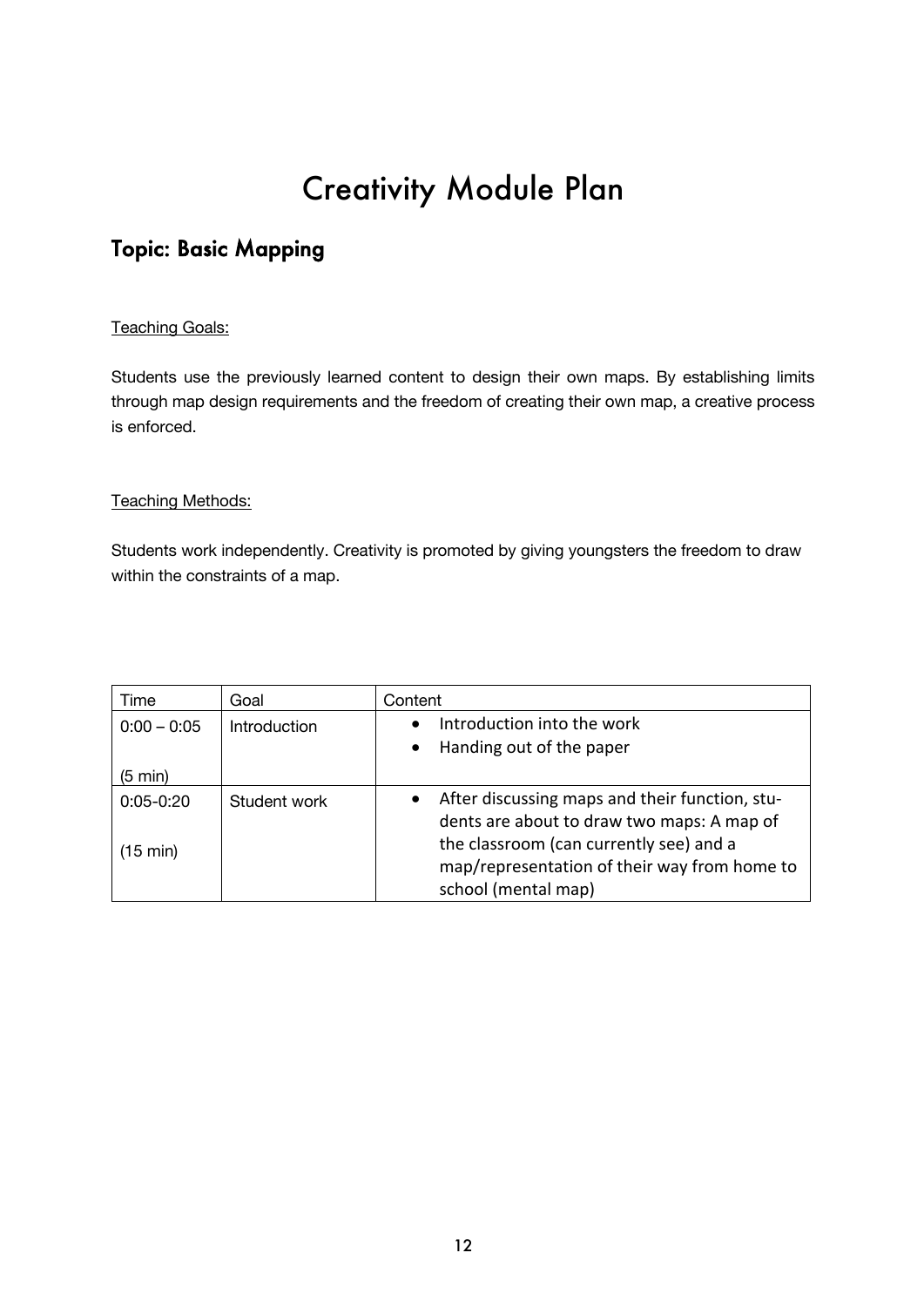# Creativity Module Plan

## Topic: Basic Mapping

#### Teaching Goals:

Students use the previously learned content to design their own maps. By establishing limits through map design requirements and the freedom of creating their own map, a creative process is enforced.

#### **Teaching Methods:**

Students work independently. Creativity is promoted by giving youngsters the freedom to draw within the constraints of a map.

| Time               | Goal         | Content                                                     |
|--------------------|--------------|-------------------------------------------------------------|
| $0:00 - 0:05$      | Introduction | Introduction into the work<br>$\bullet$                     |
|                    |              | Handing out of the paper<br>$\bullet$                       |
| $(5 \text{ min})$  |              |                                                             |
| $0:05 - 0:20$      | Student work | After discussing maps and their function, stu-<br>$\bullet$ |
|                    |              | dents are about to draw two maps: A map of                  |
| $(15 \text{ min})$ |              | the classroom (can currently see) and a                     |
|                    |              | map/representation of their way from home to                |
|                    |              | school (mental map)                                         |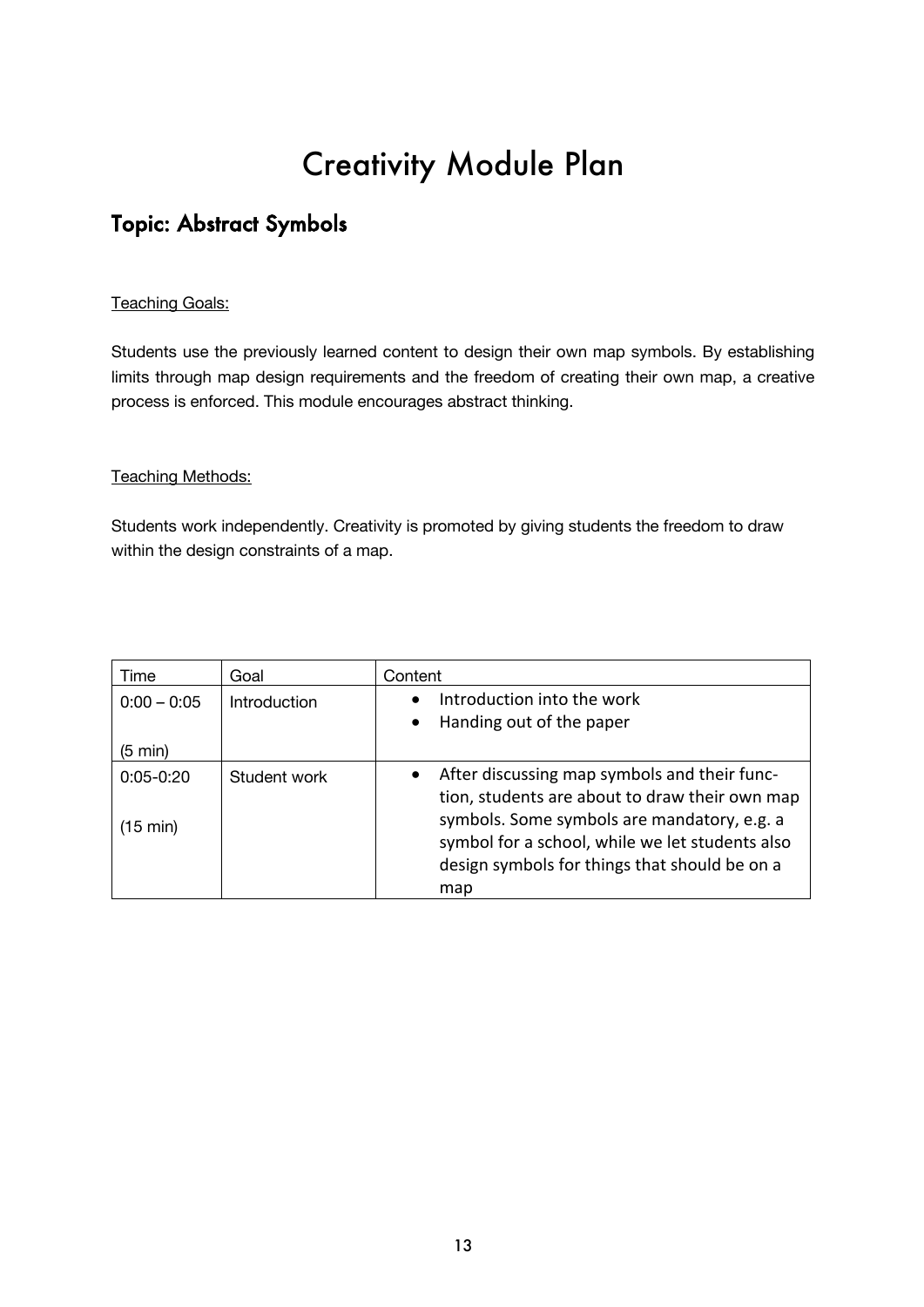# Creativity Module Plan

## Topic: Abstract Symbols

#### **Teaching Goals:**

Students use the previously learned content to design their own map symbols. By establishing limits through map design requirements and the freedom of creating their own map, a creative process is enforced. This module encourages abstract thinking.

#### Teaching Methods:

Students work independently. Creativity is promoted by giving students the freedom to draw within the design constraints of a map.

| Time                                | Goal         | Content                                                                                                                                                                                                                                           |
|-------------------------------------|--------------|---------------------------------------------------------------------------------------------------------------------------------------------------------------------------------------------------------------------------------------------------|
| $0:00 - 0:05$                       | Introduction | Introduction into the work                                                                                                                                                                                                                        |
|                                     |              | Handing out of the paper<br>$\bullet$                                                                                                                                                                                                             |
| $(5 \text{ min})$                   |              |                                                                                                                                                                                                                                                   |
| $0:05 - 0:20$<br>$(15 \text{ min})$ | Student work | After discussing map symbols and their func-<br>tion, students are about to draw their own map<br>symbols. Some symbols are mandatory, e.g. a<br>symbol for a school, while we let students also<br>design symbols for things that should be on a |
|                                     |              | map                                                                                                                                                                                                                                               |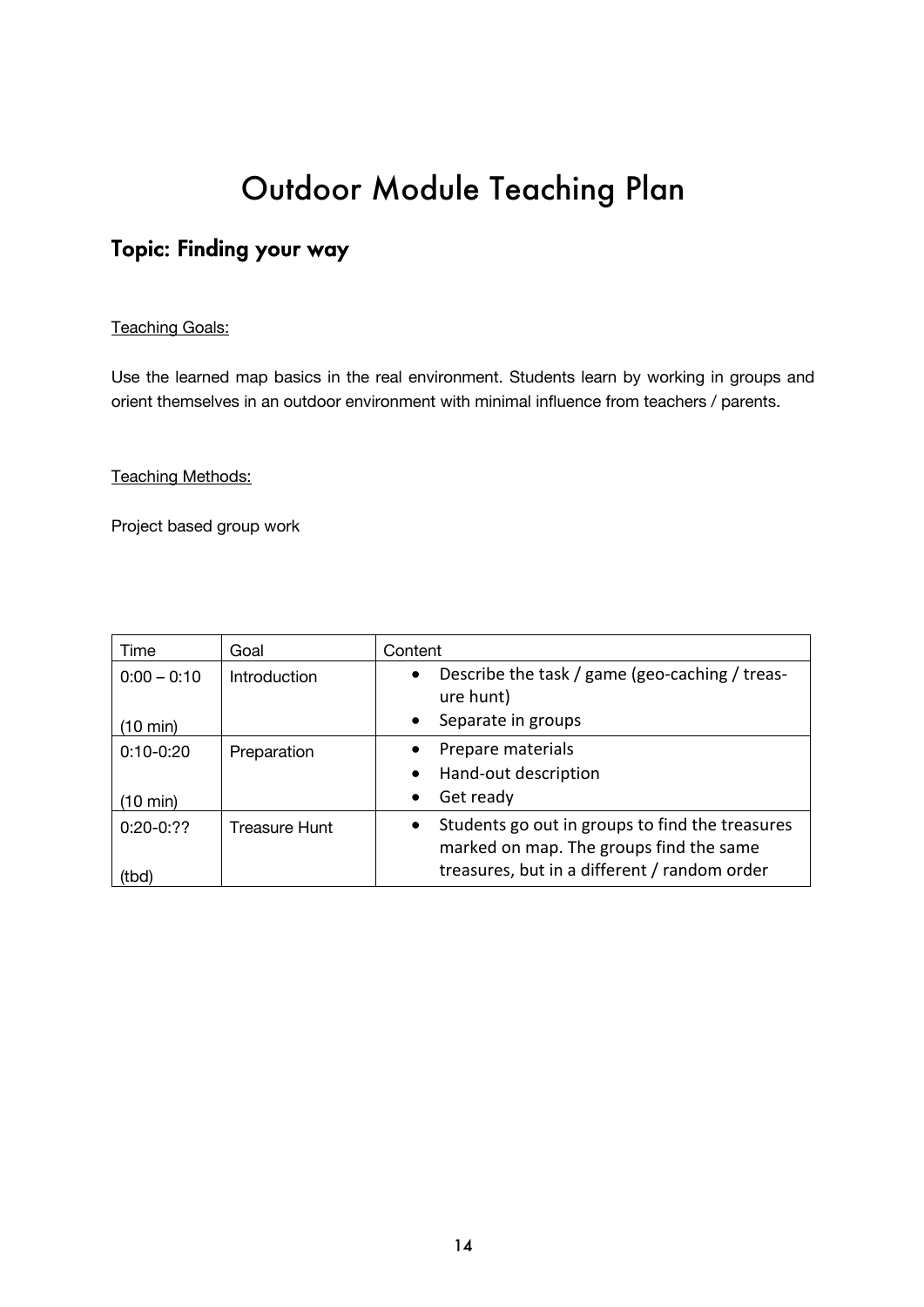# Outdoor Module Teaching Plan

## Topic: Finding your way

#### **Teaching Goals:**

Use the learned map basics in the real environment. Students learn by working in groups and orient themselves in an outdoor environment with minimal influence from teachers / parents.

#### Teaching Methods:

Project based group work

| Time                | Goal                | Content                                                                                                                                                 |
|---------------------|---------------------|---------------------------------------------------------------------------------------------------------------------------------------------------------|
| $0:00 - 0:10$       | <b>Introduction</b> | Describe the task / game (geo-caching / treas-<br>$\bullet$<br>ure hunt)                                                                                |
| (10 min)            |                     | Separate in groups<br>$\bullet$                                                                                                                         |
| $0:10-0:20$         | Preparation         | Prepare materials<br>$\bullet$                                                                                                                          |
|                     |                     | Hand-out description<br>$\bullet$                                                                                                                       |
| (10 min)            |                     | Get ready<br>$\bullet$                                                                                                                                  |
| $0:20-0:??$<br>(tbď | Treasure Hunt       | Students go out in groups to find the treasures<br>$\bullet$<br>marked on map. The groups find the same<br>treasures, but in a different / random order |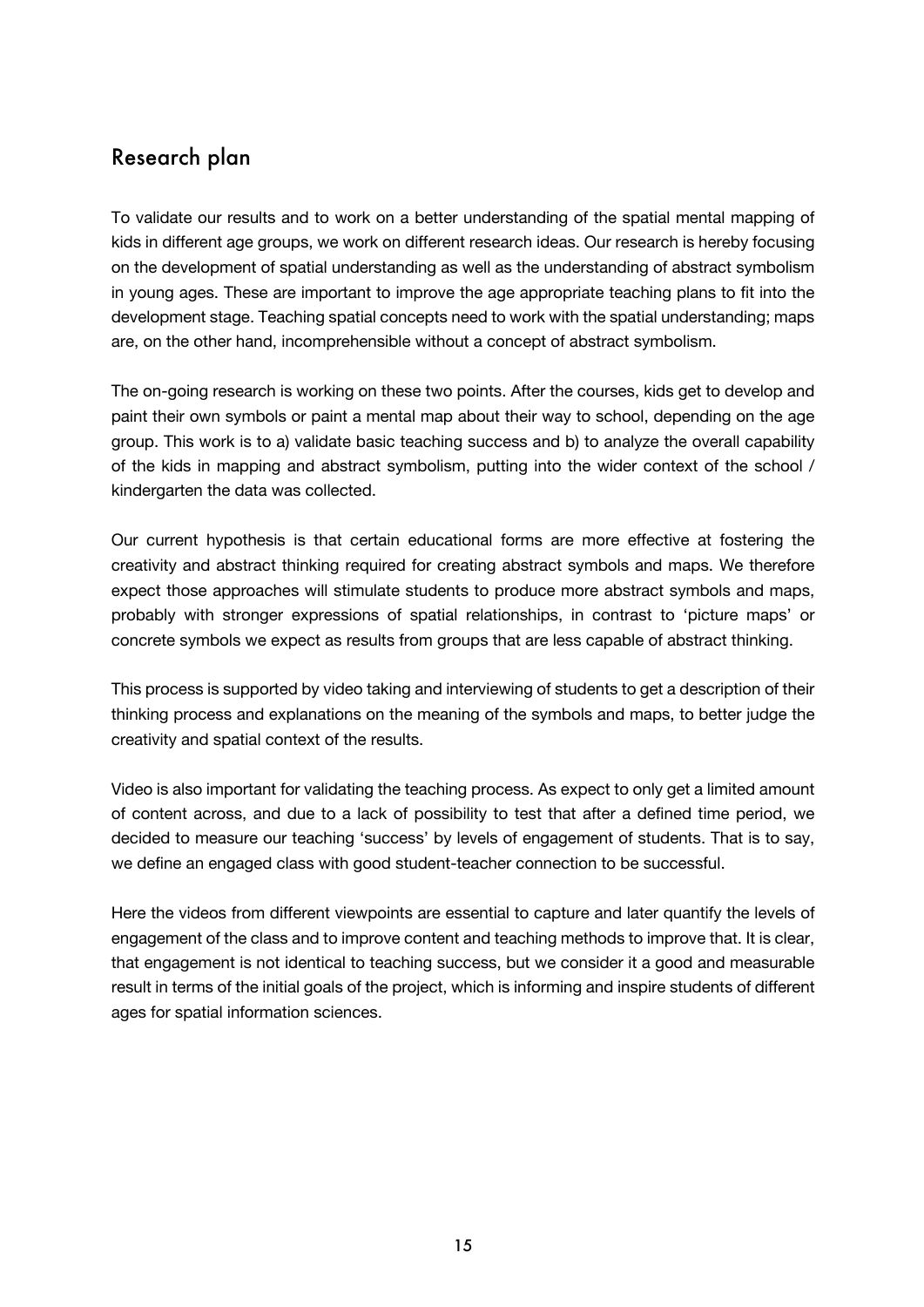### Research plan

To validate our results and to work on a better understanding of the spatial mental mapping of kids in different age groups, we work on different research ideas. Our research is hereby focusing on the development of spatial understanding as well as the understanding of abstract symbolism in young ages. These are important to improve the age appropriate teaching plans to fit into the development stage. Teaching spatial concepts need to work with the spatial understanding; maps are, on the other hand, incomprehensible without a concept of abstract symbolism.

The on-going research is working on these two points. After the courses, kids get to develop and paint their own symbols or paint a mental map about their way to school, depending on the age group. This work is to a) validate basic teaching success and b) to analyze the overall capability of the kids in mapping and abstract symbolism, putting into the wider context of the school / kindergarten the data was collected.

Our current hypothesis is that certain educational forms are more effective at fostering the creativity and abstract thinking required for creating abstract symbols and maps. We therefore expect those approaches will stimulate students to produce more abstract symbols and maps, probably with stronger expressions of spatial relationships, in contrast to 'picture maps' or concrete symbols we expect as results from groups that are less capable of abstract thinking.

This process is supported by video taking and interviewing of students to get a description of their thinking process and explanations on the meaning of the symbols and maps, to better judge the creativity and spatial context of the results.

Video is also important for validating the teaching process. As expect to only get a limited amount of content across, and due to a lack of possibility to test that after a defined time period, we decided to measure our teaching 'success' by levels of engagement of students. That is to say, we define an engaged class with good student-teacher connection to be successful.

Here the videos from different viewpoints are essential to capture and later quantify the levels of engagement of the class and to improve content and teaching methods to improve that. It is clear, that engagement is not identical to teaching success, but we consider it a good and measurable result in terms of the initial goals of the project, which is informing and inspire students of different ages for spatial information sciences.